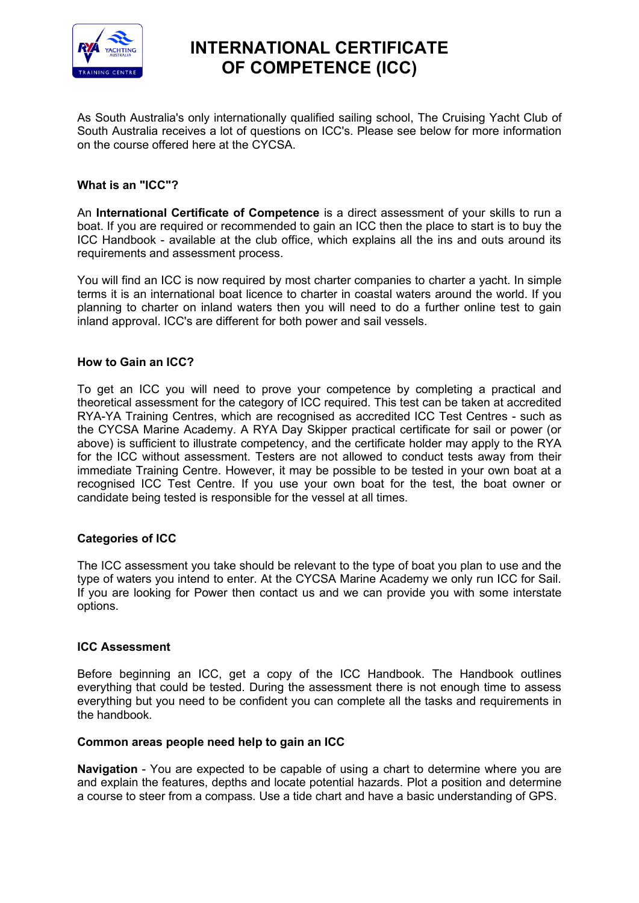

# **INTERNATIONAL CERTIFICATE OF COMPETENCE (ICC)**

As South Australia's only internationally qualified sailing school, The Cruising Yacht Club of South Australia receives a lot of questions on ICC's. Please see below for more information on the course offered here at the CYCSA.

## **What is an "ICC"?**

An **International Certificate of Competence** is a direct assessment of your skills to run a boat. If you are required or recommended to gain an ICC then the place to start is to buy the ICC Handbook - available at the club office, which explains all the ins and outs around its requirements and assessment process.

You will find an ICC is now required by most charter companies to charter a yacht. In simple terms it is an international boat licence to charter in coastal waters around the world. If you planning to charter on inland waters then you will need to do a further online test to gain inland approval. ICC's are different for both power and sail vessels.

#### **How to Gain an ICC?**

To get an ICC you will need to prove your competence by completing a practical and theoretical assessment for the category of ICC required. This test can be taken at accredited RYA-YA Training Centres, which are recognised as accredited ICC Test Centres - such as the CYCSA Marine Academy. A RYA Day Skipper practical certificate for sail or power (or above) is sufficient to illustrate competency, and the certificate holder may apply to the RYA for the ICC without assessment. Testers are not allowed to conduct tests away from their immediate Training Centre. However, it may be possible to be tested in your own boat at a recognised ICC Test Centre. If you use your own boat for the test, the boat owner or candidate being tested is responsible for the vessel at all times.

### **Categories of ICC**

The ICC assessment you take should be relevant to the type of boat you plan to use and the type of waters you intend to enter. At the CYCSA Marine Academy we only run ICC for Sail. If you are looking for Power then contact us and we can provide you with some interstate options.

#### **ICC Assessment**

Before beginning an ICC, get a copy of the ICC Handbook. The Handbook outlines everything that could be tested. During the assessment there is not enough time to assess everything but you need to be confident you can complete all the tasks and requirements in the handbook.

#### **Common areas people need help to gain an ICC**

**Navigation** - You are expected to be capable of using a chart to determine where you are and explain the features, depths and locate potential hazards. Plot a position and determine a course to steer from a compass. Use a tide chart and have a basic understanding of GPS.